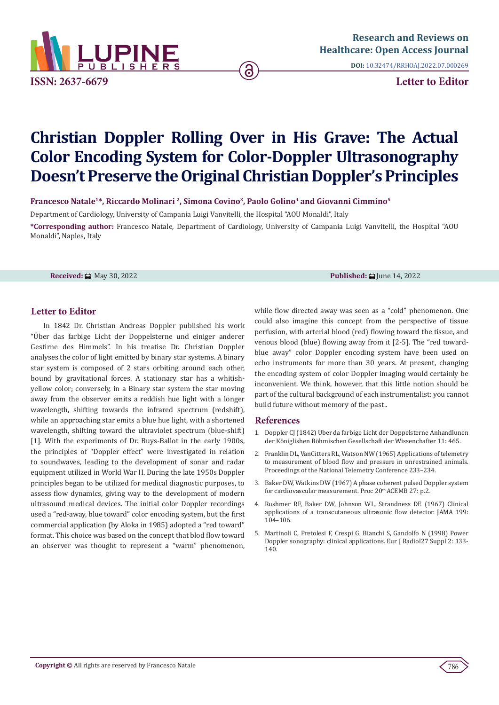

**DOI:** [10.32474/RRHOAJ.2022.07.000269](http://dx.doi.org/10.32474/RRHOAJ.2022.07.000269)

# **Christian Doppler Rolling Over in His Grave: The Actual Color Encoding System for Color-Doppler Ultrasonography Doesn't Preserve the Original Christian Doppler's Principles**

ခြ

**Francesco Natale1\*, Riccardo Molinari 2, Simona Covino3, Paolo Golino4 and Giovanni Cimmino5**

Department of Cardiology, University of Campania Luigi Vanvitelli, the Hospital "AOU Monaldi", Italy

**\*Corresponding author:** Francesco Natale, Department of Cardiology, University of Campania Luigi Vanvitelli, the Hospital "AOU Monaldi", Naples, Italy

**Received:** ■ May 30, 2022 **Published:** ■ May 30, 2022 **Published:** ■ June 14, 2022

## **Letter to Editor**

In 1842 Dr. Christian Andreas Doppler published his work "Über das farbige Licht der Doppelsterne und einiger anderer Gestirne des Himmels". In his treatise Dr. Christian Doppler analyses the color of light emitted by binary star systems. A binary star system is composed of 2 stars orbiting around each other, bound by gravitational forces. A stationary star has a whitishyellow color; conversely, in a Binary star system the star moving away from the observer emits a reddish hue light with a longer wavelength, shifting towards the infrared spectrum (redshift), while an approaching star emits a blue hue light, with a shortened wavelength, shifting toward the ultraviolet spectrum (blue-shift) [1]. With the experiments of Dr. Buys-Ballot in the early 1900s, the principles of "Doppler effect" were investigated in relation to soundwaves, leading to the development of sonar and radar equipment utilized in World War II. During the late 1950s Doppler principles began to be utilized for medical diagnostic purposes, to assess flow dynamics, giving way to the development of modern ultrasound medical devices. The initial color Doppler recordings used a "red-away, blue toward" color encoding system, but the first commercial application (by Aloka in 1985) adopted a "red toward" format. This choice was based on the concept that blod flow toward an observer was thought to represent a "warm" phenomenon,

while flow directed away was seen as a "cold" phenomenon. One could also imagine this concept from the perspective of tissue perfusion, with arterial blood (red) flowing toward the tissue, and venous blood (blue) flowing away from it [2-5]. The "red towardblue away" color Doppler encoding system have been used on echo instruments for more than 30 years. At present, changing the encoding system of color Doppler imaging would certainly be inconvenient. We think, however, that this little notion should be part of the cultural background of each instrumentalist: you cannot build future without memory of the past..

#### **References**

- 1. Doppler CJ (1842) Uber da farbige Licht der Doppelsterne Anhandlunen der Königlishen Böhmischen Gesellschaft der Wissenchafter 11: 465.
- 2. Franklin DL, VanCitters RL, Watson NW (1965) Applications of telemetry to measurement of blood flow and pressure in unrestrained animals. Proceedings of the National Telemetry Conference 233–234.
- 3. Baker DW, Watkins DW (1967) A phase coherent pulsed Doppler system for cardiovascular measurement. Proc 20<sup>th</sup> ACEMB 27: p.2.
- 4. [Rushmer RF, Baker DW, Johnson WL, Strandness DE \(1967\) Clinical](https://pubmed.ncbi.nlm.nih.gov/6071137/) [applications of a transcutaneous ultrasonic flow detector. JAMA 199:](https://pubmed.ncbi.nlm.nih.gov/6071137/) [104–106.](https://pubmed.ncbi.nlm.nih.gov/6071137/)
- 5. [Martinoli C, Pretolesi F, Crespi G, Bianchi S, Gandolfo N \(1998\) Power](https://pubmed.ncbi.nlm.nih.gov/9652513/) [Doppler sonography: clinical applications. Eur J Radiol27 Suppl 2: 133-](https://pubmed.ncbi.nlm.nih.gov/9652513/) [140.](https://pubmed.ncbi.nlm.nih.gov/9652513/)